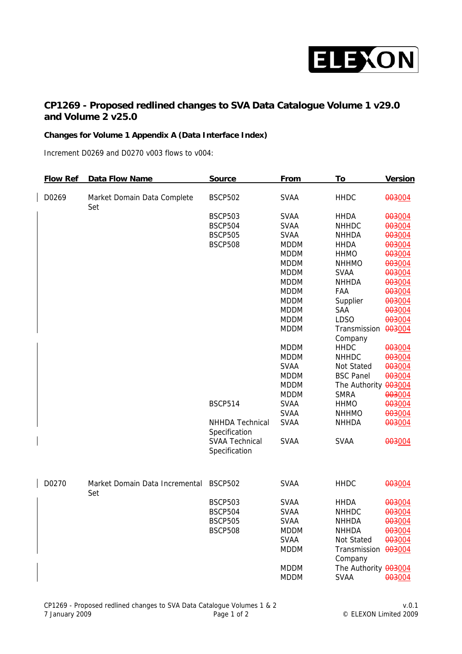

## **CP1269 - Proposed redlined changes to SVA Data Catalogue Volume 1 v29.0 and Volume 2 v25.0**

## **Changes for Volume 1 Appendix A (Data Interface Index)**

Increment D0269 and D0270 v003 flows to v004:

| <b>Flow Ref</b> | Data Flow Name                     | <b>Source</b>                          | <b>From</b> | To                      | <b>Version</b>   |
|-----------------|------------------------------------|----------------------------------------|-------------|-------------------------|------------------|
| D0269           | Market Domain Data Complete<br>Set | <b>BSCP502</b>                         | <b>SVAA</b> | <b>HHDC</b>             | 003004           |
|                 |                                    | <b>BSCP503</b>                         | <b>SVAA</b> | <b>HHDA</b>             | 003004           |
|                 |                                    | <b>BSCP504</b>                         | <b>SVAA</b> | <b>NHHDC</b>            | 003004           |
|                 |                                    | <b>BSCP505</b>                         | <b>SVAA</b> | <b>NHHDA</b>            | 003004           |
|                 |                                    | <b>BSCP508</b>                         | <b>MDDM</b> | <b>HHDA</b>             | 003004           |
|                 |                                    |                                        | <b>MDDM</b> | <b>HHMO</b>             | 003004           |
|                 |                                    |                                        | <b>MDDM</b> | <b>NHHMO</b>            | 003004           |
|                 |                                    |                                        | <b>MDDM</b> | <b>SVAA</b>             | 003004           |
|                 |                                    |                                        | <b>MDDM</b> | <b>NHHDA</b>            | 003004           |
|                 |                                    |                                        | <b>MDDM</b> | FAA                     | 003004           |
|                 |                                    |                                        | <b>MDDM</b> | Supplier                | 003004           |
|                 |                                    |                                        | <b>MDDM</b> | <b>SAA</b>              | 003004           |
|                 |                                    |                                        | <b>MDDM</b> | <b>LDSO</b>             | 003004           |
|                 |                                    |                                        | <b>MDDM</b> | Transmission<br>Company | 003004           |
|                 |                                    |                                        | <b>MDDM</b> | <b>HHDC</b>             | 003004           |
|                 |                                    |                                        | <b>MDDM</b> | <b>NHHDC</b>            | 003004           |
|                 |                                    |                                        | <b>SVAA</b> | Not Stated              | 003004           |
|                 |                                    |                                        | <b>MDDM</b> | <b>BSC Panel</b>        | 003004           |
|                 |                                    |                                        | <b>MDDM</b> | The Authority 003004    |                  |
|                 |                                    |                                        | <b>MDDM</b> | <b>SMRA</b>             | 003004           |
|                 |                                    | <b>BSCP514</b>                         | <b>SVAA</b> | <b>HHMO</b>             | 003004           |
|                 |                                    |                                        | <b>SVAA</b> | <b>NHHMO</b>            | 003004           |
|                 |                                    | NHHDA Technical<br>Specification       | <b>SVAA</b> | <b>NHHDA</b>            | 003004           |
|                 |                                    | <b>SVAA Technical</b><br>Specification | <b>SVAA</b> | <b>SVAA</b>             | 003004           |
| D0270           | Market Domain Data Incremental     | <b>BSCP502</b>                         | <b>SVAA</b> | <b>HHDC</b>             | 003004           |
|                 | Set                                | <b>BSCP503</b>                         | <b>SVAA</b> | <b>HHDA</b>             |                  |
|                 |                                    | <b>BSCP504</b>                         | <b>SVAA</b> | <b>NHHDC</b>            | 003004<br>003004 |
|                 |                                    | <b>BSCP505</b>                         | <b>SVAA</b> | <b>NHHDA</b>            | 003004           |
|                 |                                    | <b>BSCP508</b>                         | <b>MDDM</b> | <b>NHHDA</b>            | 003004           |
|                 |                                    |                                        | <b>SVAA</b> | Not Stated              | 003004           |
|                 |                                    |                                        | <b>MDDM</b> | Transmission 003004     |                  |
|                 |                                    |                                        |             | Company                 |                  |
|                 |                                    |                                        | <b>MDDM</b> | The Authority 003004    |                  |
|                 |                                    |                                        | <b>MDDM</b> | <b>SVAA</b>             | 003004           |
|                 |                                    |                                        |             |                         |                  |